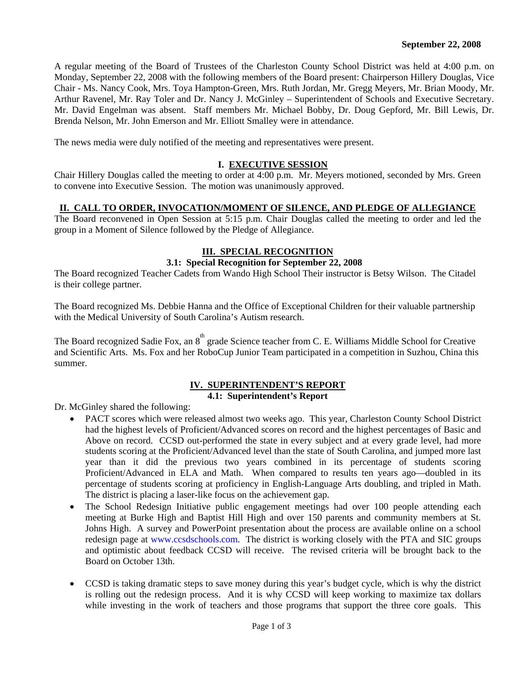A regular meeting of the Board of Trustees of the Charleston County School District was held at 4:00 p.m. on Monday, September 22, 2008 with the following members of the Board present: Chairperson Hillery Douglas, Vice Chair - Ms. Nancy Cook, Mrs. Toya Hampton-Green, Mrs. Ruth Jordan, Mr. Gregg Meyers, Mr. Brian Moody, Mr. Arthur Ravenel, Mr. Ray Toler and Dr. Nancy J. McGinley – Superintendent of Schools and Executive Secretary. Mr. David Engelman was absent. Staff members Mr. Michael Bobby, Dr. Doug Gepford, Mr. Bill Lewis, Dr. Brenda Nelson, Mr. John Emerson and Mr. Elliott Smalley were in attendance.

The news media were duly notified of the meeting and representatives were present.

#### **I. EXECUTIVE SESSION**

Chair Hillery Douglas called the meeting to order at 4:00 p.m. Mr. Meyers motioned, seconded by Mrs. Green to convene into Executive Session. The motion was unanimously approved.

#### **II. CALL TO ORDER, INVOCATION/MOMENT OF SILENCE, AND PLEDGE OF ALLEGIANCE**

The Board reconvened in Open Session at 5:15 p.m. Chair Douglas called the meeting to order and led the group in a Moment of Silence followed by the Pledge of Allegiance.

## **III. SPECIAL RECOGNITION**

#### **3.1: Special Recognition for September 22, 2008**

The Board recognized Teacher Cadets from Wando High School Their instructor is Betsy Wilson. The Citadel is their college partner.

The Board recognized Ms. Debbie Hanna and the Office of Exceptional Children for their valuable partnership with the Medical University of South Carolina's Autism research.

The Board recognized Sadie Fox, an 8<sup>th</sup> grade Science teacher from C. E. Williams Middle School for Creative and Scientific Arts. Ms. Fox and her RoboCup Junior Team participated in a competition in Suzhou, China this summer.

# **IV. SUPERINTENDENT'S REPORT**

# **4.1: Superintendent's Report**

Dr. McGinley shared the following:

- PACT scores which were released almost two weeks ago. This year, Charleston County School District had the highest levels of Proficient/Advanced scores on record and the highest percentages of Basic and Above on record. CCSD out-performed the state in every subject and at every grade level, had more students scoring at the Proficient/Advanced level than the state of South Carolina, and jumped more last year than it did the previous two years combined in its percentage of students scoring Proficient/Advanced in ELA and Math. When compared to results ten years ago—doubled in its percentage of students scoring at proficiency in English-Language Arts doubling, and tripled in Math. The district is placing a laser-like focus on the achievement gap.
- The School Redesign Initiative public engagement meetings had over 100 people attending each meeting at Burke High and Baptist Hill High and over 150 parents and community members at St. Johns High. A survey and PowerPoint presentation about the process are available online on a school redesign page at www.ccsdschools.com. The district is working closely with the PTA and SIC groups and optimistic about feedback CCSD will receive. The revised criteria will be brought back to the Board on October 13th.
- CCSD is taking dramatic steps to save money during this year's budget cycle, which is why the district is rolling out the redesign process. And it is why CCSD will keep working to maximize tax dollars while investing in the work of teachers and those programs that support the three core goals. This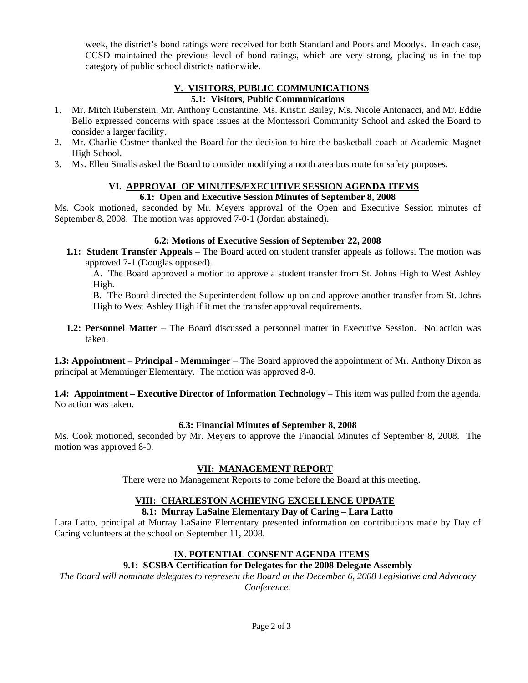week, the district's bond ratings were received for both Standard and Poors and Moodys. In each case, CCSD maintained the previous level of bond ratings, which are very strong, placing us in the top category of public school districts nationwide.

#### **V. VISITORS, PUBLIC COMMUNICATIONS 5.1: Visitors, Public Communications**

- 1. Mr. Mitch Rubenstein, Mr. Anthony Constantine, Ms. Kristin Bailey, Ms. Nicole Antonacci, and Mr. Eddie Bello expressed concerns with space issues at the Montessori Community School and asked the Board to consider a larger facility.
- 2. Mr. Charlie Castner thanked the Board for the decision to hire the basketball coach at Academic Magnet High School.
- 3. Ms. Ellen Smalls asked the Board to consider modifying a north area bus route for safety purposes.

## **VI. APPROVAL OF MINUTES/EXECUTIVE SESSION AGENDA ITEMS**

#### **6.1: Open and Executive Session Minutes of September 8, 2008**

Ms. Cook motioned, seconded by Mr. Meyers approval of the Open and Executive Session minutes of September 8, 2008. The motion was approved 7-0-1 (Jordan abstained).

#### **6.2: Motions of Executive Session of September 22, 2008**

**1.1: Student Transfer Appeals** – The Board acted on student transfer appeals as follows. The motion was approved 7-1 (Douglas opposed).

A. The Board approved a motion to approve a student transfer from St. Johns High to West Ashley High.

B. The Board directed the Superintendent follow-up on and approve another transfer from St. Johns High to West Ashley High if it met the transfer approval requirements.

**1.2: Personnel Matter** – The Board discussed a personnel matter in Executive Session. No action was taken.

**1.3: Appointment – Principal - Memminger** – The Board approved the appointment of Mr. Anthony Dixon as principal at Memminger Elementary. The motion was approved 8-0.

**1.4: Appointment – Executive Director of Information Technology** – This item was pulled from the agenda. No action was taken.

#### **6.3: Financial Minutes of September 8, 2008**

Ms. Cook motioned, seconded by Mr. Meyers to approve the Financial Minutes of September 8, 2008. The motion was approved 8-0.

## **VII: MANAGEMENT REPORT**

There were no Management Reports to come before the Board at this meeting.

## **VIII: CHARLESTON ACHIEVING EXCELLENCE UPDATE**

# **8.1: Murray LaSaine Elementary Day of Caring – Lara Latto**

Lara Latto, principal at Murray LaSaine Elementary presented information on contributions made by Day of Caring volunteers at the school on September 11, 2008.

# **IX**. **POTENTIAL CONSENT AGENDA ITEMS**

# **9.1: SCSBA Certification for Delegates for the 2008 Delegate Assembly**

*The Board will nominate delegates to represent the Board at the December 6, 2008 Legislative and Advocacy Conference.*